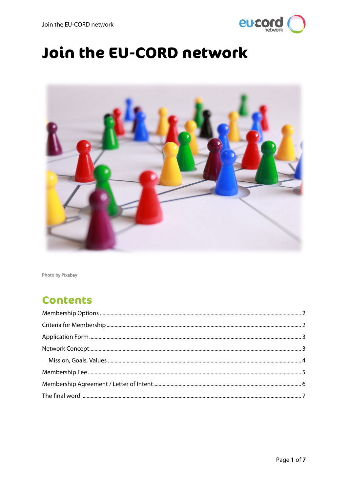

# Join the EU-CORD network



Photo by Pixabay

# **Contents**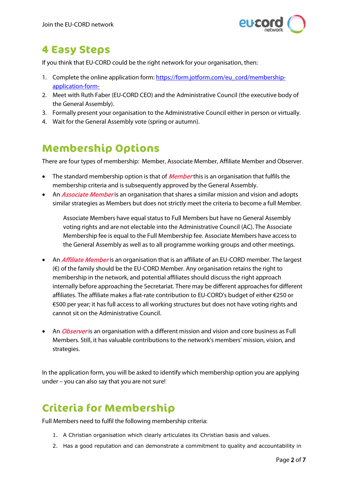

# **4 Easy Steps**

If you think that EU-CORD could be the right network for your organisation, then:

- 1. Complete the online application form: [https://form.jotform.com/eu\\_cord/membership](https://form.jotform.com/eu_cord/membership-application-form-)[application-form-](https://form.jotform.com/eu_cord/membership-application-form-)
- 2. Meet with Ruth Faber (EU-CORD CEO) and the Administrative Council (the executive body of the General Assembly).
- 3. Formally present your organisation to the Administrative Council either in person or virtually.
- 4. Wait for the General Assembly vote (spring or autumn).

# <span id="page-1-0"></span>**Membership Options**

There are four types of membership: Member, Associate Member, Affiliate Member and Observer.

- The standard membership option is that of *Member* this is an organisation that fulfils the membership criteria and is subsequently approved by the General Assembly.
- An *Associate Member* is an organisation that shares a similar mission and vision and adopts similar strategies as Members but does not strictly meet the criteria to become a full Member.

Associate Members have equal status to Full Members but have no General Assembly voting rights and are not electable into the Administrative Council (AC). The Associate Membership fee is equal to the Full Membership fee. Associate Members have access to the General Assembly as well as to all programme working groups and other meetings.

- An *Affiliate Member* is an organisation that is an affiliate of an EU-CORD member. The largest (€) of the family should be the EU-CORD Member. Any organisation retains the right to membership in the network, and potential affiliates should discuss the right approach internally before approaching the Secretariat. There may be different approaches for different affiliates. The affiliate makes a flat-rate contribution to EU-CORD's budget of either €250 or €500 per year; it has full access to all working structures but does not have voting rights and cannot sit on the Administrative Council.
- An *Observer* is an organisation with a different mission and vision and core business as Full Members. Still, it has valuable contributions to the network's members' mission, vision, and strategies.

In the application form, you will be asked to identify which membership option you are applying under – you can also say that you are not sure!

# <span id="page-1-1"></span>**Criteria for Membership**

Full Members need to fulfil the following membership criteria:

- 1. A Christian organisation which clearly articulates its Christian basis and values.
- 2. Has a good reputation and can demonstrate a commitment to quality and accountability in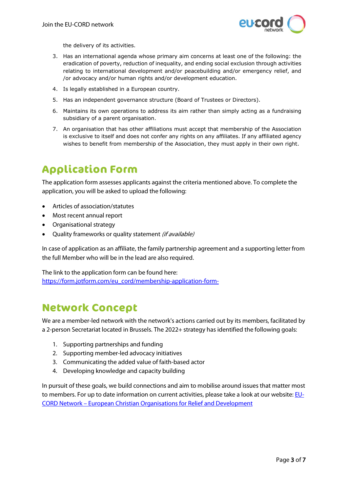

the delivery of its activities.

- 3. Has an international agenda whose primary aim concerns at least one of the following: the eradication of poverty, reduction of inequality, and ending social exclusion through activities relating to international development and/or peacebuilding and/or emergency relief, and /or advocacy and/or human rights and/or development education.
- 4. Is legally established in a European country.
- 5. Has an independent governance structure (Board of Trustees or Directors).
- 6. Maintains its own operations to address its aim rather than simply acting as a fundraising subsidiary of a parent organisation.
- 7. An organisation that has other affiliations must accept that membership of the Association is exclusive to itself and does not confer any rights on any affiliates. If any affiliated agency wishes to benefit from membership of the Association, they must apply in their own right.

# <span id="page-2-0"></span>**Application Form**

The application form assesses applicants against the criteria mentioned above. To complete the application, you will be asked to upload the following:

- Articles of association/statutes
- Most recent annual report
- Organisational strategy
- Quality frameworks or quality statement *(if available)*

In case of application as an affiliate, the family partnership agreement and a supporting letter from the full Member who will be in the lead are also required.

The link to the application form can be found here: [https://form.jotform.com/eu\\_cord/membership-application-form-](https://form.jotform.com/eu_cord/membership-application-form-)

### <span id="page-2-1"></span>**Network Concept**

We are a member-led network with the network's actions carried out by its members, facilitated by a 2-person Secretariat located in Brussels. The 2022+ strategy has identified the following goals:

- 1. Supporting partnerships and funding
- 2. Supporting member-led advocacy initiatives
- 3. Communicating the added value of faith-based actor
- 4. Developing knowledge and capacity building

In pursuit of these goals, we build connections and aim to mobilise around issues that matter most to members. For up to date information on current activities, please take a look at our website[: EU-](https://www.eu-cord.org/)CORD Network – [European Christian Organisations for Relief and Development](https://www.eu-cord.org/)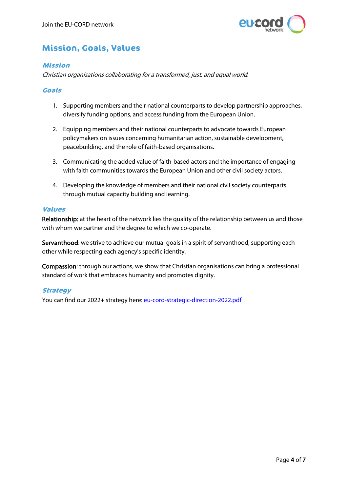

### <span id="page-3-0"></span>**Mission, Goals, Values**

#### **Mission**

Christian organisations collaborating for a transformed, just, and equal world.

#### **Goals**

- 1. Supporting members and their national counterparts to develop partnership approaches, diversify funding options, and access funding from the European Union.
- 2. Equipping members and their national counterparts to advocate towards European policymakers on issues concerning humanitarian action, sustainable development, peacebuilding, and the role of faith-based organisations.
- 3. Communicating the added value of faith-based actors and the importance of engaging with faith communities towards the European Union and other civil society actors.
- 4. Developing the knowledge of members and their national civil society counterparts through mutual capacity building and learning.

#### **Values**

Relationship: at the heart of the network lies the quality of the relationship between us and those with whom we partner and the degree to which we co-operate.

Servanthood: we strive to achieve our mutual goals in a spirit of servanthood, supporting each other while respecting each agency's specific identity.

Compassion: through our actions, we show that Christian organisations can bring a professional standard of work that embraces humanity and promotes dignity.

#### **Strategy**

You can find our 2022+ strategy here: [eu-cord-strategic-direction-2022.pdf](https://www.eu-cord.org/2015/wp-content/uploads/2021/11/eu-cord-strategic-direction-2022.pdf)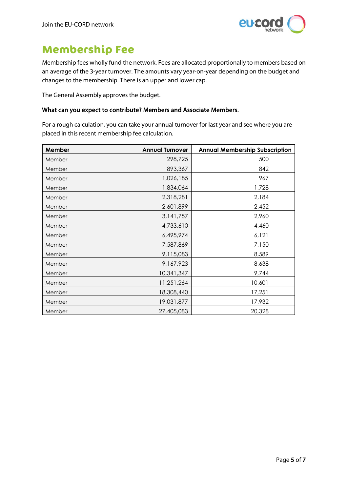

# <span id="page-4-0"></span>**Membership Fee**

Membership fees wholly fund the network. Fees are allocated proportionally to members based on an average of the 3-year turnover. The amounts vary year-on-year depending on the budget and changes to the membership. There is an upper and lower cap.

The General Assembly approves the budget.

#### What can you expect to contribute? Members and Associate Members.

For a rough calculation, you can take your annual turnover for last year and see where you are placed in this recent membership fee calculation.

| Member | <b>Annual Turnover</b> | <b>Annual Membership Subscription</b> |
|--------|------------------------|---------------------------------------|
| Member | 298,725                | 500                                   |
| Member | 893,367                | 842                                   |
| Member | 1,026,185              | 967                                   |
| Member | 1,834,064              | 1,728                                 |
| Member | 2,318,281              | 2,184                                 |
| Member | 2,601,899              | 2,452                                 |
| Member | 3,141,757              | 2,960                                 |
| Member | 4,733,610              | 4,460                                 |
| Member | 6,495,974              | 6,121                                 |
| Member | 7,587,869              | 7,150                                 |
| Member | 9,115,083              | 8,589                                 |
| Member | 9,167,923              | 8,638                                 |
| Member | 10,341,347             | 9,744                                 |
| Member | 11,251,264             | 10,601                                |
| Member | 18,308,440             | 17,251                                |
| Member | 19,031,877             | 17,932                                |
| Member | 27,405,083             | 20,328                                |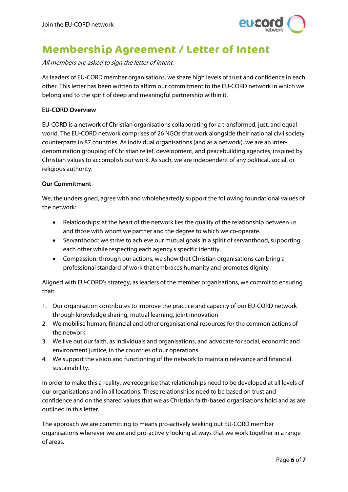

# <span id="page-5-0"></span>**Membership Agreement / Letter of Intent**

All members are asked to sign the letter of intent.

As leaders of EU-CORD member organisations, we share high levels of trust and confidence in each other. This letter has been written to affirm our commitment to the EU-CORD network in which we belong and to the spirit of deep and meaningful partnership within it.

#### EU-CORD Overview

EU-CORD is a network of Christian organisations collaborating for a transformed, just, and equal world. The EU-CORD network comprises of 26 NGOs that work alongside their national civil society counterparts in 87 countries. As individual organisations (and as a network), we are an interdenomination grouping of Christian relief, development, and peacebuilding agencies, inspired by Christian values to accomplish our work. As such, we are independent of any political, social, or religious authority.

#### Our Commitment

We, the undersigned, agree with and wholeheartedly support the following foundational values of the network:

- Relationships: at the heart of the network lies the quality of the relationship between us and those with whom we partner and the degree to which we co-operate.
- Servanthood: we strive to achieve our mutual goals in a spirit of servanthood, supporting each other while respecting each agency's specific identity.
- Compassion: through our actions, we show that Christian organisations can bring a professional standard of work that embraces humanity and promotes dignity

Aligned with EU-CORD's strategy, as leaders of the member organisations, we commit to ensuring that:

- 1. Our organisation contributes to improve the practice and capacity of our EU-CORD network through knowledge sharing, mutual learning, joint innovation
- 2. We mobilise human, financial and other organisational resources for the common actions of the network.
- 3. We live out our faith, as individuals and organisations, and advocate for social, economic and environment justice, in the countries of our operations.
- 4. We support the vision and functioning of the network to maintain relevance and financial sustainability.

In order to make this a reality, we recognise that relationships need to be developed at all levels of our organisations and in all locations. These relationships need to be based on trust and confidence and on the shared values that we as Christian faith-based organisations hold and as are outlined in this letter.

The approach we are committing to means pro-actively seeking out EU-CORD member organisations wherever we are and pro-actively looking at ways that we work together in a range of areas.